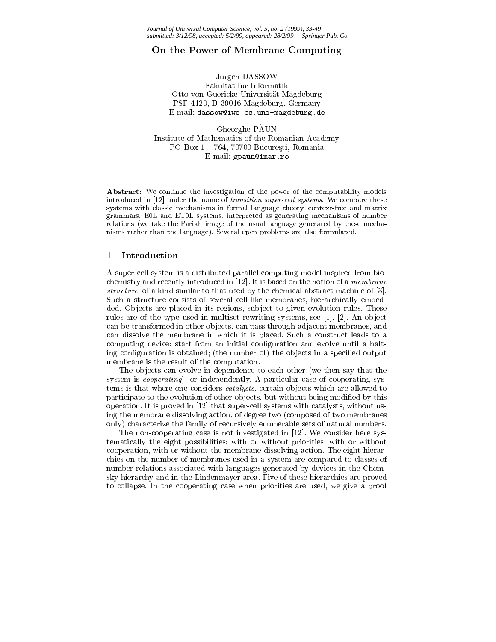#### On the Power of Membrane Computing

Jürgen DASSOW Fakultät für Informatik Otto-von-Guericke-Universitat Magdeburg PSF 4120, D-39016 Magdeburg, Germany E-mail: dassow@iws.cs.uni-magdeburg.de

Gheorghe PAUN Institute of Mathematics of the Romanian Academy PO Box  $1 - 764$ , 70700 București, Romania E-mail: gpaun@imar.ro

Abstract: We continue the investigation of the power of the computability models introduced in [12] under the name of *transition super-cell systems*. We compare these systems with classic mechanisms in formal language theory, context-free and matrix grammars, E0L and ET0L systems, interpreted as generating mechanisms of number relations (we take the Parikh image of the usual language generated by these mechanisms rather than the language). Several open problems are also formulated.

#### 1 Introduction

A super-cell system is a distributed parallel computing model inspired from biochemistry and recently introduced in [12]. It is based on the notion of a membrane structure, of a kind similar to that used by the chemical abstract machine of [3]. Such a structure consists of several cell-like membranes, hierarchically embedded. Objects are placed in its regions, subject to given evolution rules. These rules are of the type used in multiset rewriting systems, see [1], [2]. An object can be transformed in other ob jects, can pass through adjacent membranes, and can dissolve the membrane in which it is placed. Such a construct leads to a computing device: start from an initial conguration and evolve until a halting configuration is obtained; (the number of) the objects in a specified output membrane is the result of the computation.

The objects can evolve in dependence to each other (we then say that the system is *cooperating*), or independently. A particular case of cooperating systems is that where one considers *catalysts*, certain objects which are allowed to participate to the evolution of other objects, but without being modified by this operation. It is proved in [12] that super-cell systems with catalysts, without using the membrane dissolving action, of degree two (composed of two membranes only) characterize the family of recursively enumerable sets of natural numbers.

The non-cooperating case is not investigated in [12]. We consider here systematically the eight possibilities: with or without priorities, with or without cooperation, with or without the membrane dissolving action. The eight hierarchies on the number of membranes used in a system are compared to classes of number relations associated with languages generated by devices in the Chomsky hierarchy and in the Lindenmayer area. Five of these hierarchies are proved to collapse. In the cooperating case when priorities are used, we give a proof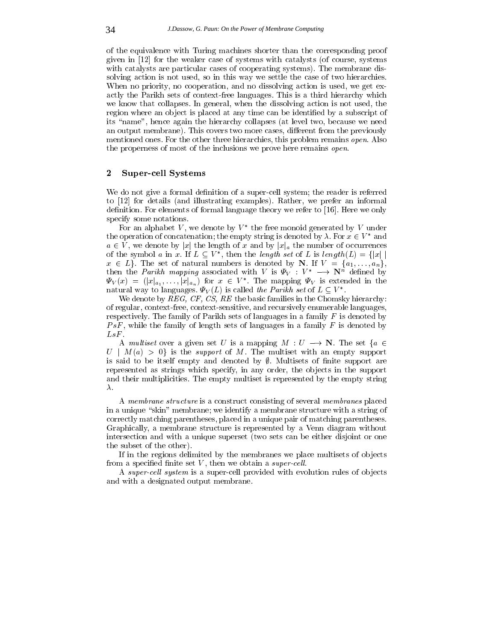of the equivalence with Turing machines shorter than the corresponding proof given in  $[12]$  for the weaker case of systems with catalysts (of course, systems with catalysts are particular cases of cooperating systems). The membrane dissolving action is not used, so in this way we settle the case of two hierarchies. When no priority, no cooperation, and no dissolving action is used, we get exactly the Parikh sets of context-free languages. This is a third hierarchy which we know that collapses. In general, when the dissolving action is not used, the region where an object is placed at any time can be identified by a subscript of its \name", hence again the hierarchy collapses (at level two, because we need an output membrane). This covers two more cases, different from the previously mentioned ones. For the other three hierarchies, this problem remains open. Also the properness of most of the inclusions we prove here remains open.

# 2 Super-cell Systems

We do not give a formal definition of a super-cell system; the reader is referred to [12] for details (and illustrating examples). Rather, we prefer an informal definition. For elements of formal language theory we refer to [16]. Here we only specify some notations.

For an alphabet V, we denote by  $V^*$  the free monoid generated by V under the operation of concatenation; the empty string is denoted by  $\lambda$ . For  $x \in V^*$  and  $a \in V$ , we denote by |x| the length of x and by  $|x|_a$  the number of occurrences the operation of concatenation; the empty string is denoted by  $\lambda$ . For  $x \in V^*$  and  $a \in V$ , we denote by  $|x|$  the length of x and by  $|x|_a$  the number of occurrences of the symbol a in x. If  $L \subset V^*$ , then the length se  $x \in L$ . The set of natural numbers is denoted by N. If  $V = \{a_1, \ldots, a_n\}$ , then the *Parikh mapping* associated with V is  $\Psi_V : V^* \longrightarrow \mathbb{N}^n$  defined by  $\Psi_V(x) = (|x|_{a_1}, \ldots, |x|_{a_n})$  for  $x \in V^*$ . The mapping  $\Psi_V$  is extended in the natural way to languages.  $\Psi_V(L)$  is called the Parikh set of  $L \subseteq V^*$ .

We denote by  $REG, CF, CS, RE$  the basic families in the Chomsky hierarchy: of regular, context-free, context-sensitive, and recursively enumerable languages, respectively. The family of Parikh sets of languages in a family  $F$  is denoted by  $PsF$ , while the family of length sets of languages in a family F is denoted by  $LsF$ .

A multiset over a given set U is a mapping  $M: U \longrightarrow \mathbb{N}$ . The set  $\{a \in$  $U \mid M(a) > 0$  is the *support* of M. The multiset with an empty support is said to be itself empty and denoted by  $\emptyset$ . Multisets of finite support are represented as strings which specify, in any order, the objects in the support and their multiplicities. The empty multiset is represented by the empty string  $\lambda$ .

A membrane structure is a construct consisting of several membranes placed in a unique "skin" membrane; we identify a membrane structure with a string of correctly matching parentheses, placed in a unique pair of matching parentheses. Graphically, a membrane structure is represented by a Venn diagram without intersection and with a unique superset (two sets can be either disjoint or one the subset of the other).

If in the regions delimited by the membranes we place multisets of objects from a specified finite set  $V$ , then we obtain a *super-cell*.

A super-cell system is a super-cell provided with evolution rules of objects and with a designated output membrane.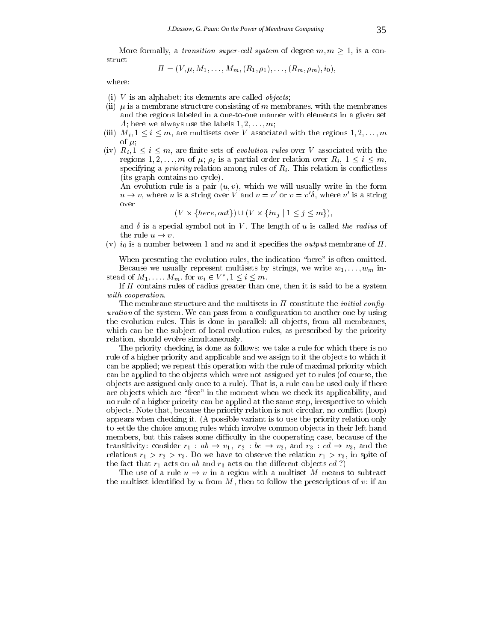More formally, a *transition super-cell system* of degree  $m, m > 1$ , is a construct

$$
\Pi = (V, \mu, M_1, \ldots, M_m, (R_1, \rho_1), \ldots, (R_m, \rho_m), i_0),
$$

where:

- (i)  $V$  is an alphabet; its elements are called *objects*;
- (ii)  $\mu$  is a membrane structure consisting of m membranes, with the membranes and the regions labeled in a one-to-one manner with elements in a given set A; here we always use the labels  $1, 2, \ldots, m;$
- (iii)  $M_i, 1 \leq i \leq m$ , are multisets over V associated with the regions  $1, 2, \ldots, m$ of  $\mu$ ;
- (iv)  $R_i, 1 \leq i \leq m$ , are finite sets of *evolution rules* over V associated with the regions  $1, 2, \ldots, m$  of  $\mu$ ;  $\rho_i$  is a partial order relation over  $R_i, 1 \leq i \leq m$ , specifying a *priority* relation among rules of  $R<sub>i</sub>$ . This relation is conflictless (its graph contains no cycle).

An evolution rule is a pair  $(u, v)$ , which we will usually write in the form  $u \to v$ , where u is a string over V and  $v = v'$  or  $v = v' \delta$ , where v' is a string over tring over  $V$  and  $v = v'$  or  $v = v' \delta$ , where  $v'$  is<br>
{here, out})  $\cup$   $(V \times \{in_j | 1 \le j \le m\})$ ,

$$
(V \times \{here, out\}) \cup (V \times \{in_i \mid 1 \leq j \leq m\})
$$

and  $\delta$  is a special symbol not in V. The length of u is called the radius of the rule  $u \to v$ .

(v)  $i_0$  is a number between 1 and m and it specifies the *output* membrane of  $\Pi$ .

When presenting the evolution rules, the indication "here" is often omitted. Because we usually represent multisets by strings, we write  $w_1, \ldots, w_m$  instead of  $M_1,\ldots,M_m$ , for  $w_i \in V^*$ ,  $1 \leq i \leq m$ .

If  $\Pi$  contains rules of radius greater than one, then it is said to be a system with cooperation.

The membrane structure and the multisets in  $\Pi$  constitute the *initial config*uration of the system. We can pass from a configuration to another one by using the evolution rules. This is done in parallel: all objects, from all membranes, which can be the subject of local evolution rules, as prescribed by the priority relation, should evolve simultaneously.

The priority checking is done as follows: we take a rule for which there is no rule of a higher priority and applicable and we assign to it the objects to which it can be applied; we repeat this operation with the rule of maximal priority which can be applied to the objects which were not assigned yet to rules (of course, the ob jects are assigned only once to a rule). That is, a rule can be used only if there are objects which are "free" in the moment when we check its applicability, and no rule of a higher priority can be applied at the same step, irrespective to which ob jects. Note that, because the priority relation is not circular, no con
ict (loop) appears when checking it. (A possible variant is to use the priority relation only to settle the choice among rules which involve common objects in their left hand members, but this raises some difficulty in the cooperating case, because of the transitivity: consider  $r_1 : ab \rightarrow v_1, r_2 : bc \rightarrow v_2$ , and  $r_3 : cd \rightarrow v_3$ , and the relations  $r_1 > r_2 > r_3$ . Do we have to observe the relation  $r_1 > r_3$ , in spite of the fact that  $r_1$  acts on ab and  $r_3$  acts on the different objects cd?)

The use of a rule  $u \to v$  in a region with a multiset M means to subtract the multiset identified by u from  $M$ , then to follow the prescriptions of v: if an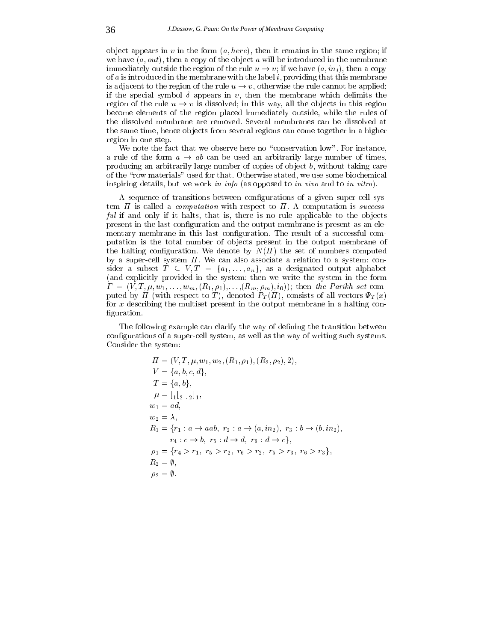object appears in v in the form  $(a, here)$ , then it remains in the same region; if we have  $(a, out)$ , then a copy of the object a will be introduced in the membrane immediately outside the region of the rule  $u \to v$ ; if we have  $(a, in_i)$ , then a copy of  $a$  is introduced in the membrane with the label  $i$ , providing that this membrane is adjacent to the region of the rule  $u \to v$ , otherwise the rule cannot be applied; if the special symbol  $\delta$  appears in v, then the membrane which delimits the region of the rule  $u \to v$  is dissolved; in this way, all the objects in this region become elements of the region placed immediately outside, while the rules of the dissolved membrane are removed. Several membranes can be dissolved at the same time, hence objects from several regions can come together in a higher region in one step.

We note the fact that we observe here no "conservation low". For instance, a rule of the form  $a \rightarrow ab$  can be used an arbitrarily large number of times, producing an arbitrarily large number of copies of object  $b$ , without taking care of the \row materials" used for that. Otherwise stated, we use some biochemical inspiring details, but we work in info (as opposed to in vivo and to in vitro).

A sequence of transitions between congurations of a given super-cell system  $\Pi$  is called a *computation* with respect to  $\Pi$ . A computation is *success*ful if and only if it halts, that is, there is no rule applicable to the objects present in the last conguration and the output membrane is present as an elementary membrane in this last configuration. The result of a successful computation is the total number of objects present in the output membrane of the halting configuration. We denote by  $N(\Pi)$  the set of numbers computed by a super-cell system  $\Pi$ . We can also associate a relation to a system: consider a subset  $\tilde{T} \subseteq V, T = \{a_1, \ldots, a_n\}$ , as a designated output alphabet (and explicitly provided in the system: then we write the system in the form  $\Gamma = (V, T, \mu, w_1, \ldots, w_m, (R_1, \rho_1), \ldots, (R_m, \rho_m), i_0)$ ; then the Parikh set computed by  $\Pi$  (with respect to T), denoted  $P_T(\Pi)$ , consists of all vectors  $\Psi_T(x)$ for x describing the multiset present in the output membrane in a halting con figuration.

The following example can clarify the way of defining the transition between congurations of a super-cell system, as well as the way of writing such systems. Consider the system:

$$
\Pi = (V, T, \mu, w_1, w_2, (R_1, \rho_1), (R_2, \rho_2), 2),
$$
  
\n
$$
V = \{a, b, c, d\},
$$
  
\n
$$
T = \{a, b\},
$$
  
\n
$$
\mu = \begin{bmatrix} 1 \\ 2 \end{bmatrix} \begin{bmatrix} 1 \\ 2 \end{bmatrix},
$$
  
\n
$$
w_1 = ad,
$$
  
\n
$$
w_2 = \lambda,
$$
  
\n
$$
R_1 = \{r_1 : a \to aab, r_2 : a \to (a, in_2), r_3 : b \to (b, in_2),
$$
  
\n
$$
r_4 : c \to b, r_5 : d \to d, r_6 : d \to c\},
$$
  
\n
$$
\rho_1 = \{r_4 > r_1, r_5 > r_2, r_6 > r_2, r_5 > r_3, r_6 > r_3\},
$$
  
\n
$$
R_2 = \emptyset,
$$
  
\n
$$
\rho_2 = \emptyset.
$$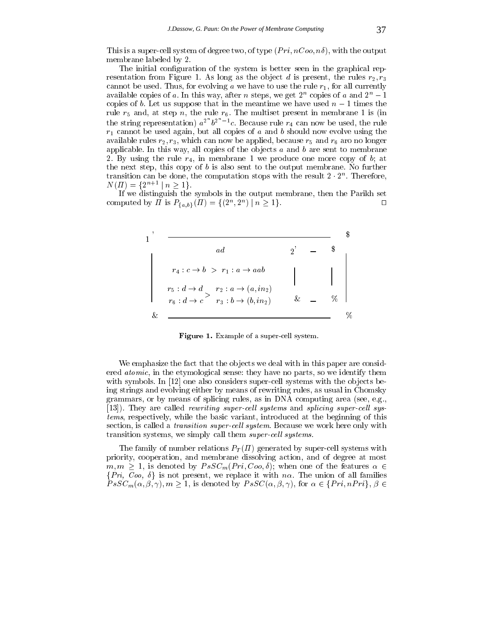This is a super-cell system of degree two, of type  $(Pri, nCo, n\delta)$ , with the output membrane labeled by 2.

The initial configuration of the system is better seen in the graphical representation from Figure 1. As long as the object d is present, the rules  $r_2, r_3$ cannot be used. Thus, for evolving a we have to use the rule  $r_1$ , for all currently available copies of  $a$ . In this way, after  $n$  steps, we get  $2^n$  copies of  $a$  and  $2^n - 1$ copies of b. Let us suppose that in the meantime we have used  $n-1$  times the rule  $r_5$  and, at step n, the rule  $r_6$ . The multiset present in membrane 1 is (in the string representation)  $a^{2n}b^{2n-1}c$ . Because rule  $r_4$  can now be used, the rule  $r_1$  cannot be used again, but all copies of a and b should now evolve using the available rules  $r_2, r_3$ , which can now be applied, because  $r_5$  and  $r_6$  aro no longer applicable. In this way, all copies of the objects  $a$  and  $b$  are sent to membrane 2. By using the rule  $r_4$ , in membrane 1 we produce one more copy of b; at the next step, this copy of  $b$  is also sent to the output membrane. No further transition can be done, the computation stops with the result  $2 \cdot 2^{\alpha}$  . Therefore,  $N(\Pi) = \{2^{n+1} \mid n \geq 1\}.$ 

If we distinguish the symbols in the output membrane, then the Parikh set computed by *i* is  $P_{\{a,b\}}(II) = \{(2^x, 2^x) \mid n \ge 1\}.$ 



Figure 1. Example of a super-cell system.

We emphasize the fact that the objects we deal with in this paper are considered atomic, in the etymological sense: they have no parts, so we identify them with symbols. In [12] one also considers super-cell systems with the objects being strings and evolving either by means of rewriting rules, as usual in Chomsky grammars, or by means of splicing rules, as in DNA computing area (see, e.g., [13]). They are called *rewriting super-cell systems* and *splicing super-cell sys*tems, respectively, while the basic variant, introduced at the beginning of this section, is called a *transition super-cell system*. Because we work here only with transition systems, we simply call them *super-cell systems*.

The family of number relations  $P_T(\Pi)$  generated by super-cell systems with priority, cooperation, and membrane dissolving action, and of degree at most  $m, m \geq 1$ , is denoted by  $PsSC_m(Pri, Coo, \delta)$ ; when one of the features  $\alpha \in \{ Pri, Coo, \delta\}$  is not present, we replace it with  $n\alpha$ . The union of all families  $PsSC_m(\alpha, \beta, \gamma), m \geq 1$ , is denoted by  $PsSC(\alpha, \beta, \gamma)$ , for  $\alpha \in \{ Pri, nPri\},$  $\{Pri, Coo, \delta\}$  is not present, we replace it with  $n\alpha$ . The union of all families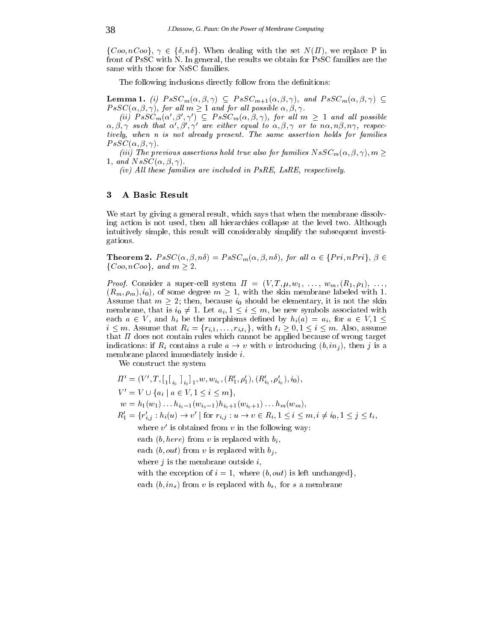$\{Coo, nCoo\}, \gamma \in \{\delta, n\delta\}.$  When dealing with the set  $N(\Pi)$ , we replace P in front of PsSC with N. In general, the results we obtain for PsSC families are the same with those for NsSC families.

The following inclusions directly follow from the definitions:

**Lemma 1.** (i)  $PsSC_m(\alpha, \beta, \gamma) \subseteq PsSC_{m+1}(\alpha, \beta, \gamma)$ , and  $PsSC_m(\alpha, \beta, \gamma) \subseteq$  $PsSC(\alpha, \beta, \gamma)$ , for all  $m \geq 1$  and for all possible  $\alpha, \beta, \gamma$ .

(ii)  $PsSC_m(\alpha', \beta', \gamma') \subseteq PsSC_m(\alpha, \beta, \gamma)$ , for all  $m \geq 1$  and all possible  $\alpha, \beta, \gamma$  such that  $\alpha', \beta', \gamma'$  are either equal to  $\alpha, \beta, \gamma$  or to  $n\alpha, n\beta, n\gamma$ , respectively, when n is not already present. The same assertion holds for families  $PsSC(\alpha, \beta, \gamma).$ 

(iii) The previous assertions hold true also for families  $NsSC_m(\alpha, \beta, \gamma), m \geq$ 1, and  $NsSC(\alpha, \beta, \gamma)$ 

(iv) All these families are included in  $P_{S}RE$ , LsRE, respectively.

# 3 A Basic Result

We start by giving a general result, which says that when the membrane dissolving action is not used, then all hierarchies collapse at the level two. Although intuitively simple, this result will considerably simplify the subsequent investigations.

**Theorem 2.**  $PsSC(\alpha, \beta, n\delta) = PsSC_m(\alpha, \beta, n\delta)$ , for all  $\alpha \in \{Pri, nPri\}, \beta \in$  $\{Coo, nCoo\}$ , and  $m \geq 2$ .

*Proof.* Consider a super-cell system  $\Pi = (V, T, \mu, w_1, \ldots, w_m, (R_1, \rho_1), \ldots,$  $(R_m, \rho_m), i_0$ , of some degree  $m \geq 1$ , with the skin membrane labeled with 1. Assume that  $m \geq 2$ ; then, because  $i_0$  should be elementary, it is not the skin membrane, that is  $i_0 \neq 1$ . Let  $a_i, 1 \leq i \leq m$ , be new symbols associated with each  $a \in V$ , and  $h_i$  be the morphisms defined by  $h_i(a) = a_i$ , for  $a \in V, 1 \leq$  $i \leq m$ . Assume that  $R_i = \{r_{i,1},\ldots,r_{i,t_i}\}$ , with  $t_i \geq 0, 1 \leq i \leq m$ . Also, assume that  $\Pi$  does not contain rules which cannot be applied because of wrong target indications: if  $R_i$  contains a rule  $a \to v$  with v introducing  $(b, in_j)$ , then j is a membrane placed immediately inside i.

We construct the system

 $\Pi' = (V', T, [\begin{bmatrix} 1 \\ i_0 \end{bmatrix}_{i_0}]_1, w, w_{i_0}, (R'_1, \rho'_1), (R'_{i_0}, \rho'_{i_0}), i_0),$ <br>  $V' = V \cup \{a_i \mid a \in V, 1 \leq i \leq m\},$ 1980 - Personal Property and Personal Property and Personal Property and Personal Property and Personal Property and

<sup>1</sup>

i0 in the contract of the contract of the contract of the contract of the contract of the contract of the contract of the contract of the contract of the contract of the contract of the contract of the contract of the contrac

- $w = h_1(w_1) \ldots h_{i_0-1}(w_{i_0-1})h_{i_0+1}(w_{i_0+1}) \ldots h_m(w_m),$
- $R_1' = \{r'_{i,j} : h_i(u) \to v' \mid \text{for } r_{i,j} : u \to v \in R_i, 1 \le i \le m, i \ne i_0, 1 \le j \le t_i,$

where  $v'$  is obtained from v in the following way:

each  $(b, here)$  from v is replaced with  $b_i$ ,

each  $(b, out)$  from v is replaced with  $b_i$ ,

where  $j$  is the membrane outside  $i$ ,

with the exception of  $i = 1$ , where  $(b, out)$  is left unchanged.

each  $(b, in_s)$  from v is replaced with  $b_s$ , for s a membrane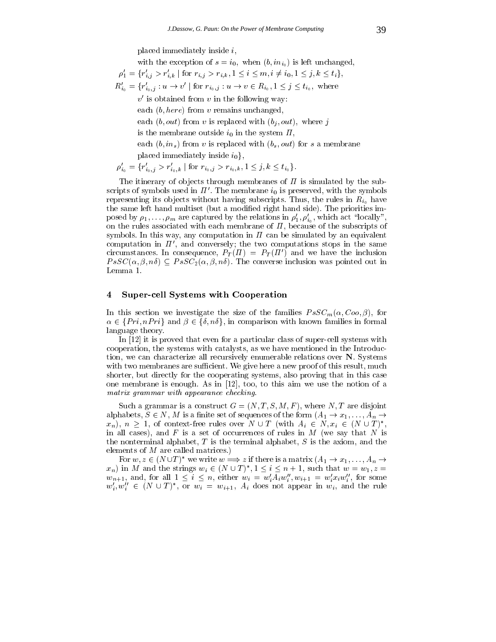placed immediately inside i;

with the exception of  $s = i_0$ , when  $(b, in_{i_0})$  is left unchanged,

 $\rho'_1 = \{r'_{i,j} > r'_{i,k} \mid \text{for } r_{i,j} > r_{i,k}, 1 \leq i \leq m, i \neq i_0, 1 \leq j,k \leq t_i\},\$  $R'_{i_0} = \{r'_{i_0,j} : u \to v' \mid \text{for } r_{i_0,j} : u \to v \in R_{i_0}, 1 \leq j \leq t_{i_0}, \text{ where }$  $v'$  is obtained from v in the following way: each  $(b, here)$  from v remains unchanged. each  $(b, out)$  from v is replaced with  $(b_i, out)$ , where j is the membrane outside  $i_0$  in the system  $\Pi$ , each  $(b, in_s)$  from v is replaced with  $(b_s, out)$  for s a membrane

placed immediately inside  $i_0$ ,

$$
\rho'_{i_0} = \{r'_{i_0,j} > r'_{i_0,k} \mid \text{for } r_{i_0,j} > r_{i_0,k}, 1 \leq j, k \leq t_{i_0}\}.
$$

The itinerary of objects through membranes of  $\Pi$  is simulated by the subscripts of symbols used in  $\Pi'$ . The membrane  $i_0$  is preserved, with the symbols representing its objects without having subscripts. Thus, the rules in  $R_{i_0}$  have the same left hand multiset (but a modied right hand side). The priorities imposed by  $\rho_1, \ldots, \rho_m$  are captured by the relations in  $\rho'_1, \rho'_{i_0}$ , which act "locally", on the rules associated with each membrane of  $\Pi$ , because of the subscripts of symbols. In this way, any computation in  $\Pi$  can be simulated by an equivalent computation in  $\Pi'$ , and conversely; the two computations stops in the same circumstances. In consequence,  $P_T(\Pi) = P_T(\Pi')$  and we have the inclusion  $PsSC(\alpha, \beta, n\delta) \subseteq PsSC_2(\alpha, \beta, n\delta)$ . The converse inclusion was pointed out in Lemma 1.

## 4 Super-cell Systems with Cooperation

In this section we have section  $\alpha$  sections the size of the families  $\alpha$  ,  $\alpha$  ,  $\alpha$  ,  $\alpha$  ,  $\alpha$  ,  $\alpha$ In this section we investigate the size of the families  $PsSC_m(\alpha, Coo, \beta)$ , for  $\alpha \in \{Pri, nPri\}$  and  $\beta \in \{\delta, n\delta\}$ , in comparison with known families in formal language theory.

In [12] it is proved that even for a particular class of super-cell systems with cooperation, the systems with catalysts, as we have mentioned in the Introduction, we can characterize all recursively enumerable relations over N. Systems with two membranes are sufficient. We give here a new proof of this result, much shorter, but directly for the cooperating systems, also proving that in this case one membrane is enough. As in [12], too, to this aim we use the notion of a matrix grammar with appearance checking.

Such a grammar is a construct  $G = (N, T, S, M, F)$ , where N, T are disjoint alphabets,  $S \in N$ , M is a finite set of sequences of the form  $(A_1 \rightarrow x_1, \ldots, A_n \rightarrow$  $x_n$ ),  $n \geq 1$ , of context-free rules over  $N \cup T$  (with  $A_i \in N, x_i \in (N \cup T)^*$ , , and the contract of the contract of the contract of the contract of the contract of the contract of the contract of the contract of the contract of the contract of the contract of the contract of the contract of the con in all cases), and  $F$  is a set of occurrences of rules in  $M$  (we say that  $N$  is the nonterminal alphabet,  $T$  is the terminal alphabet,  $S$  is the axiom, and the elements of M are called matrices.)

For  $w, z \in (N \cup T)^*$  we write  $w \Longrightarrow z$  if there is a matrix  $(A_1 \rightarrow x_1, \ldots, A_n \rightarrow$  $(x_n)$  in M and the strings  $w_i \in (N \cup T)^*$ ,  $1 \le i \le n+1$ , such that  $w = w_1$ ,  $z =$  $w_{n+1}$ , and, for all  $1 \leq i \leq n$ , either  $w_i = w'_i A_i w''_i, w_{i+1} = w'_i x_i w''_i$ , for some  $w'_i, w''_i \in (N \cup T)^*$ , or  $w_i = w_{i+1}$ ,  $A_i$  does not appear in  $w_i$ , and the rule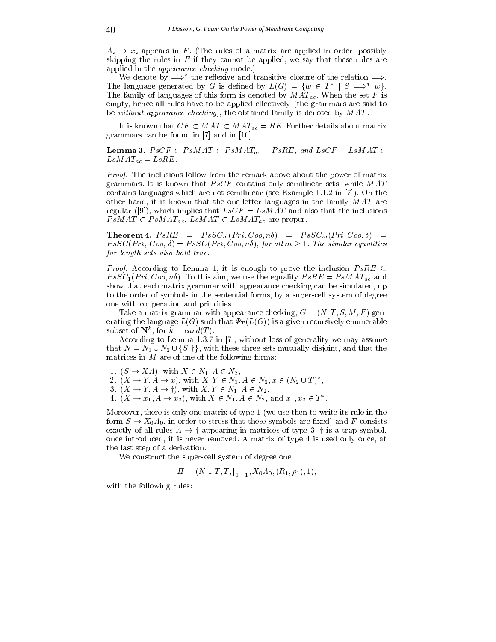$A_i \rightarrow x_i$  appears in F. (The rules of a matrix are applied in order, possibly skipping the rules in  $F$  if they cannot be applied; we say that these rules are applied in the appearance checking mode.)

We denote by  $\implies^*$  the reflexive and transitive closure of the relation  $\implies$ . The language generated by G is defined by  $L(G) = \{w \in T^* \mid S \implies^* w\}.$ The family of languages of this form is denoted by  $MAT_{ac}$ . When the set F is empty, hence all rules have to be applied effectively (the grammars are said to be without appearance checking), the obtained family is denoted by  $MAT$ .

It is known that  $CF \subset MAT \subset MAT_{ac} = RE$ . Further details about matrix grammars can be found in [7] and in [16].

**Lemma 3.**  $PsCF \subset PsMAT \subset PsMAT_{ac} = PsRE$ , and  $LsCF = LsMAT \subset$  $LsMAT_{ac} = LsRE.$ 

Proof. The inclusions follow from the remark above about the power of matrix grammars. It is known that  $PsCF$  contains only semilinear sets, while MAT contains languages which are not semilinear (see Example 1.1.2 in [7]). On the other hand, it is known that the one-letter languages in the family MAT are regular ([9]), which implies that  $LsCF = LsMAT$  and also that the inclusions  $PsMAT \subset PsMAT_{ac}$ ,  $LsMAT \subset LsMAT_{ac}$  are proper.

Theorem 4.  $PsRE = PsSC_m(Pri, Coo, n\delta) = PsSC_m(Pri, Coo, \delta) =$  $PsSC(Pri, Coo, \delta) = PsSC(Pri, Coo, n\delta),$  for all  $m > 1$ . The similar equalities for length sets also hold true.

*Proof.* According to Lemma 1, it is enough to prove the inclusion  $PsRE \subseteq$  $PsSC_1(Pri, Coo, n\delta)$ . To this aim, we use the equality  $PsRE = PsMAT_{ac}$  and show that each matrix grammar with appearance checking can be simulated, up to the order of symbols in the sentential forms, by a super-cell system of degree one with cooperation and priorities.

Take a matrix grammar with appearance checking,  $G = (N, T, S, M, F)$  generating the language  $L(G)$  such that  $\Psi_T(L(G))$  is a given recursively enumerable subset of  $N^{\circ}$ , for  $\kappa = \text{card}(T)$ .

 $\mathcal{A}$  . The Lemma 1.3.7 in  $\mathcal{A}$  is generality we may assume may assume may assume may assume may assume may assume may assume may assume may assume may assume may assume may assume may assume may assume may assume subset of  $\mathbf{N}^k$ , for  $\vec{k} = \text{card}(T)$ .<br>According to Lemma 1.3.7 in [7], without loss of generality we may assume<br>that  $N = N_1 \cup N_2 \cup \{S, \dagger\}$ , with these three sets mutually disjoint, and that the matrices in  $M$  are of one of the following forms:

1.  $(S \rightarrow XA)$ , with  $X \in N_1, A \in N_2$ ,

2.  $(X \to Y, A \to x)$ , with  $X, Y \in N_1, A \in N_2, x \in (N_2 \cup T)^*$ , 1.  $(S \rightarrow XA)$ , with  $X \in N_1, A \in N_2$ ,<br>
2.  $(X \rightarrow Y, A \rightarrow x)$ , with  $X, Y \in N_1, A \in N_2, x \in (N_3, (X \rightarrow Y, A \rightarrow \dagger))$ , with  $X, Y \in N_1, A \in N_2$ ,

4.  $(X \to x_1, A \to x_2)$ , with  $X \in N_1, A \in N_2$ , and  $x_1, x_2 \in T^*$ .

Moreover, there is only one matrix of type 1 (we use then to write its rule in the form  $S \to X_0 A_0$ , in order to stress that these symbols are fixed) and F consists exactly of all rules  $A \rightarrow \dagger$  appearing in matrices of type 3;  $\dagger$  is a trap-symbol, once introduced, it is never removed. A matrix of type 4 is used only once, at the last step of a derivation.

We construct the super-cell system of degree one

$$
\Pi = (N \cup T, T, \left[ \begin{smallmatrix} 1 \\ 1 \end{smallmatrix} \right], X_0 A_0, (R_1, \rho_1), 1),
$$

with the following rules: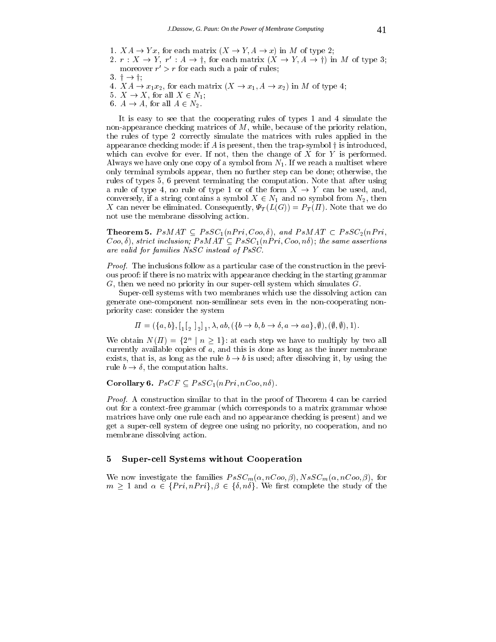- 1.  $XA \rightarrow Yx$ , for each matrix  $(X \rightarrow Y, A \rightarrow x)$  in M of type 2;
- 1.  $XA \rightarrow Yx$ , for each matrix  $(X \rightarrow Y, A \rightarrow x)$  in M of type 2;<br>2.  $r : X \rightarrow Y$ ,  $r' : A \rightarrow \dagger$ , for each matrix  $(X \rightarrow Y, A \rightarrow \dagger)$  in M of type 3; moreover  $r' > r$  for each such a pair of rules;
- $3 \trightarrow$   $\dagger$ ;
- 4.  $XA \rightarrow x_1x_2$ , for each matrix  $(X \rightarrow x_1, A \rightarrow x_2)$  in M of type 4;
- 5.  $X \to X$ , for all  $X \in N_1$ ;
- 6.  $A \rightarrow A$ , for all  $A \in N_2$ .

It is easy to see that the cooperating rules of types 1 and 4 simulate the non-appearance checking matrices of M, while, because of the priority relation, the rules of type 2 correctly simulate the matrices with rules applied in the appearance checking mode: if  $A$  is present, then the trap-symbol  $\dagger$  is introduced, which can evolve for ever. If not, then the change of  $X$  for  $Y$  is performed. Always we have only one copy of a symbol from  $N_1$ . If we reach a multiset where only terminal symbols appear, then no further step can be done; otherwise, the rules of types 5, 6 prevent terminating the computation. Note that after using a rule of type 4, no rule of type 1 or of the form  $X \to Y$  can be used, and, conversely, if a string contains a symbol  $X \in N_1$  and no symbol from  $N_2$ , then X can never be eliminated. Consequently,  $\Psi_T(L(G)) = P_T(\Pi)$ . Note that we do not use the membrane dissolving action.

**Theorem 5.**  $PsMAT \subset PsSC_1(nPri, Coo, \delta)$ , and  $PsMAT \subset PsSC_2(nPri,$  $Coo, \delta$ ), strict inclusion;  $PsMAT \subseteq PsSC_1(nPri, Coo, n\delta);$  the same assertions are valid for families NsSC instead of PsSC.

Proof. The inclusions follow as a particular case of the construction in the previous proof: if there is no matrix with appearance checking in the starting grammar  $G$ , then we need no priority in our super-cell system which simulates  $G$ .

Super-cell systems with two membranes which use the dissolving action can generate one-component non-semilinear sets even in the non-cooperating nonpriority case: consider the system

$$
\Pi = (\{a, b\}, [1_2]_2], \lambda, ab, (\{b \to b, b \to \delta, a \to aa\}, \emptyset), (\emptyset, \emptyset), 1).
$$

We obtain  $N(H) = {2^n | n \ge 1}$ : at each step we have to multiply by two all currently available copies of  $a$ , and this is done as long as the inner membrane exists, that is, as long as the rule  $b \rightarrow b$  is used; after dissolving it, by using the rule  $b \to \delta$ , the computation halts.

Corollary 6.  $PsCF \subseteq PsSC_1(nPri, nCoo, n\delta)$ .

Proof. A construction similar to that in the proof of Theorem 4 can be carried out for a context-free grammar (which corresponds to a matrix grammar whose matrices have only one rule each and no appearance checking is present) and we get a super-cell system of degree one using no priority, no cooperation, and no membrane dissolving action.

### 5 Super-cell Systems without Cooperation

We now investigate the families  $PsSC_m(\alpha, nCo_0, \beta), NsSC_m(\alpha, nCo_0, \beta)$ , for  $m \geq 1$  and  $\alpha \in \{Pri, nPri\}, \beta \in \{\delta, n\delta\}.$  We first complete the study of the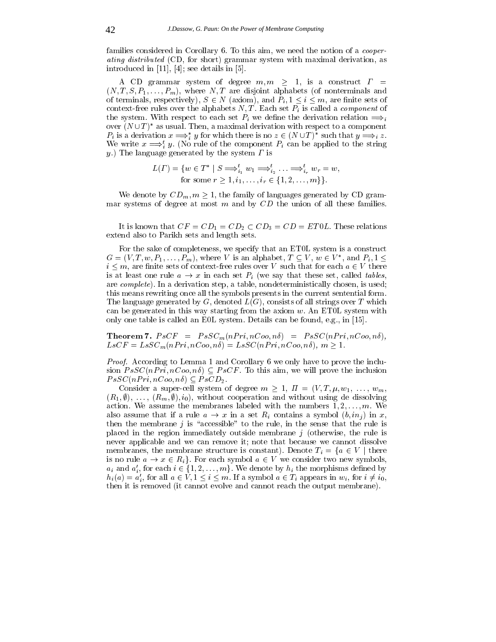families considered in Corollary 6. To this aim, we need the notion of a *cooper*ating distributed (CD, for short) grammar system with maximal derivation, as introduced in [11], [4]; see details in [5].

A CD grammar system of degree  $m, m \geq 1$ , is a construct  $\Gamma =$  $(N, T, S, P_1, \ldots, P_m)$ , where N, T are disjoint alphabets (of nonterminals and of terminals, respectively),  $S \in N$  (axiom), and  $P_i, 1 \leq i \leq m$ , are finite sets of context-free rules over the alphabets  $N, T$ . Each set  $P_i$  is called a *component* of the system. With respect to each set  $P_i$  we define the derivation relation  $\implies$ over  $(N \cup T)^*$  as usual. Then, a maximal derivation with respect to a component  $P_i$  is a derivation  $x \Longrightarrow_i^* y$  for which there is no  $z \in (N \cup T)^*$  such that  $y \Longrightarrow_i z$ . We write  $x \Longrightarrow_i y$ . (No rule of the component  $P_i$  can be applied to the string y.) The language generated by the system  $\Gamma$  is

$$
L(\Gamma) = \{ w \in T^* \mid S \Longrightarrow_{i_1}^t w_1 \Longrightarrow_{i_2}^t \ldots \Longrightarrow_{i_r}^t w_r = w, \\ \text{for some } r \ge 1, i_1, \ldots, i_r \in \{1, 2, \ldots, m\} \}.
$$

We denote by  $CD_m$ ,  $m \geq 1$ , the family of languages generated by CD grammar systems of degree at most  $m$  and by  $CD$  the union of all these families.

It is known that  $CF = CD_1 = CD_2 \subset CD_3 = CD = ETOL$ . These relations extend also to Parikh sets and length sets.

For the sake of completeness, we specify that an ET0L system is a construct  $G = (V, T, w, P_1, \ldots, P_m)$ , where V is an alphabet,  $T \subseteq V$ ,  $w \in V^*$ , and  $P_i, 1 \leq \ell$  $i \leq m$ , are finite sets of context-free rules over V such that for each  $a \in V$  there is at least one rule  $a \to x$  in each set  $P_i$  (we say that these set, called tables, are complete). In a derivation step, a table, nondeterministically chosen, is used; this means rewriting once all the symbols presents in the current sentential form. The language generated by  $G$ , denoted  $L(G)$ , consists of all strings over  $T$  which can be generated in this way starting from the axiom  $w$ . An ET0L system with only one table is called an E0L system. Details can be found, e.g., in [15].

**Theorem 7.**  $PsCF = PsSC_m(nPri, nCoo, n\delta) = PsSC(nPri, nCoo, n\delta),$  $LsCF = LsSC_m(nPri, nCoo, n\delta) = LsSC(nPri, nCoo, n\delta), m \ge 1.$ 

Proof. According to Lemma 1 and Corollary 6 we only have to prove the inclusion  $PsSC(nPri, nCoo, n\delta) \subseteq PsCF$ . To this aim, we will prove the inclusion  $PsSC(n Pri, nCoo, n\delta) \subseteq PsCD_2$ .

Consider a super-cell system of degree  $m \geq 1$ ,  $\Pi = (V, T, \mu, w_1, \ldots, w_m)$  $(R_1, \emptyset), \ldots, (R_m, \emptyset), i_0$ , without cooperation and without using de dissolving action. We assume the membranes labeled with the numbers  $1, 2, \ldots, m$ . We also assume that if a rule  $a \to x$  in a set  $R_i$  contains a symbol  $(b, in_i)$  in x, then the membrane  $j$  is "accessible" to the rule, in the sense that the rule is placed in the region immediately outside membrane  $j$  (otherwise, the rule is never applicable and we can remove it; note that because we cannot dissolve membranes, the membrane structure is constant). Denote  $T_i = \{a \in V \mid \text{there is no rule } a \to x \in R_i\}$ . For each symbol  $a \in V$  we consider two new symbols,  $a_i$  and  $a'_i$ , for each  $i \in \{1, 2, ..., m\}$ . We denote by  $h_i$  the morphisms define is no rule  $a \to x \in R_i$ . For each symbol  $a \in V$  we consider two new symbols,  $a_i$  and  $a'_i$ , for each  $i \in \{1, 2, ..., m\}$ . We denote by  $h_i$  the morphisms defined by  $h_i(a) = a'_i$ , for all  $a \in V$ ,  $1 \leq i \leq m$ . If a symbol  $a \in T_i$  appears in  $w_i$ , for  $i \neq i_0$ , then it is removed (it cannot evolve and cannot reach the output membrane).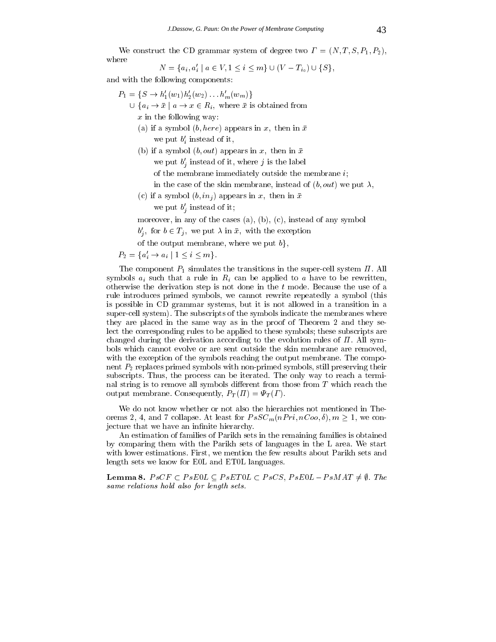ammar system of degree two  $\Gamma = (N, T, S, P_1,$ <br>  $a \in V, 1 \leq i \leq m$   $\cup (V - T_{i_0}) \cup \{S\},$ where the CD grammar system of degree two  $\mathcal{C}$ where

$$
N = \{a_i, a'_i \mid a \in V, 1 \le i \le m\} \cup (V - T_{i_0}) \cup \{S\},\
$$

and with the following components:

- $P_1 = \{S \rightarrow h'_1(w_1)h'_2(w_2) \dots h'_m(w_m)\}\$ 
	- $\bigcup \{a_i \to \bar{x} \mid a \to x \in R_i, \text{ where } \bar{x} \text{ is obtained from} \}$  $x$  in the following way:
		- (a) if a symbol  $(b, here)$  appears in x, then in  $\bar{x}$ we put  $b_i'$  instead of it,
		- (b) if a symbol  $(b, out)$  appears in x, then in  $\bar{x}$ 
			- we put  $b'_i$  instead of it, where j is the label
			- of the membrane immediately outside the membrane  $i$ ;
			- in the case of the skin membrane, instead of  $(b, out)$  we put  $\lambda$ ,
		- (c) if a symbol  $(b, in_j)$  appears in x, then in  $\bar{x}$ we put  $b'_i$  instead of it;
		- moreover, in any of the cases (a), (b), (c), instead of any symbol
		- $b'_i$ , for  $b \in T_j$ , we put  $\lambda$  in  $\bar{x}$ , with the exception
		- of the output membrane, where we put  $b$ ,

 $P_2 = \{a'_i \to a_i \mid 1 \leq i \leq m\}.$ 

The component  $P_1$  simulates the transitions in the super-cell system  $\Pi$ . All symbols  $a_i$  such that a rule in  $R_i$  can be applied to a have to be rewritten, otherwise the derivation step is not done in the t mode. Because the use of a rule introduces primed symbols, we cannot rewrite repeatedly a symbol (this is possible in CD grammar systems, but it is not allowed in a transition in a super-cell system). The subscripts of the symbols indicate the membranes where they are placed in the same way as in the proof of Theorem 2 and they select the corresponding rules to be applied to these symbols; these subscripts are changed during the derivation according to the evolution rules of  $\Pi$ . All symbols which cannot evolve or are sent outside the skin membrane are removed, with the exception of the symbols reaching the output membrane. The component  $P_2$  replaces primed symbols with non-primed symbols, still preserving their subscripts. Thus, the process can be iterated. The only way to reach a terminal string is to remove all symbols different from those from  $T$  which reach the output membrane. Consequently,  $P_T(\Pi) = \Psi_T(\Gamma)$ .

We do not know whether or not also the hierarchies not mentioned in Theorems 2, 4, and 7 collapse. At least for  $PsSC_m(nPri, nCoo, \delta), m \ge 1$ , we conjecture that we have an infinite hierarchy.

An estimation of families of Parikh sets in the remaining families is obtained by comparing them with the Parikh sets of languages in the L area. We start with lower estimations. First, we mention the few results about Parikh sets and length sets we know for E0L and ET0L languages.

**Lemma 8.**  $PsCF \subset PsE0L \subseteq PsET0L \subset PsCS$ ,  $PsE0L - PsMAT \neq \emptyset$ . The same relations hold also for length sets.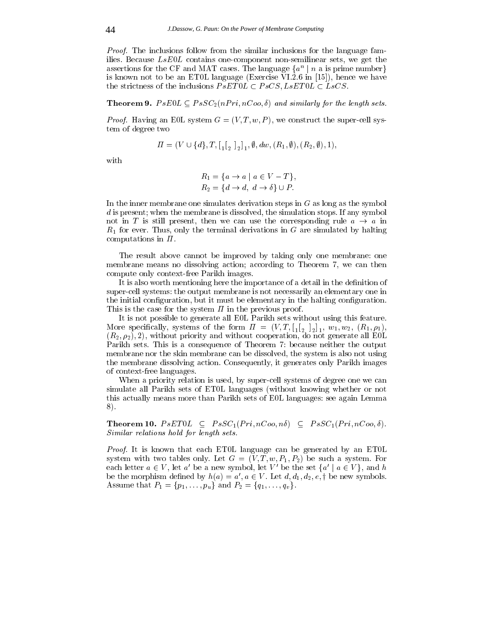*Proof.* The inclusions follow from the similar inclusions for the language families. Because  $LsE0L$  contains one-component non-semilinear sets, we get the assertions for the CF and MAT cases. The language  $\{a^+ \mid n \text{ a is prime number}\}$ is known not to be an ET0L language (Exercise  $\bar{V}I.\bar{2}.6$  in [15]), hence we have the strictness of the inclusions  $PsET0L \subset PsCS, LsET0L \subset LsCS$ .

**Theorem 9.**  $PsE0L \subseteq PsSC_2(nPri, nCoo, \delta)$  and similarly for the length sets.

Froof. Having an E0L system  $G = (V, T, \omega, T)$ , we construct the super-cell sys-<br>  $H = (V \cup \{d\}, T, [\, [\, [\,_\circ\,]_\circ], \emptyset, dw, (R_1, \emptyset), (R_2, \emptyset), 1),$ tem of degree two

$$
\Pi = (V \cup \{d\}, T, [\begin{bmatrix} 1 \\ 2 \end{bmatrix}]_1, \emptyset, dw, (R_1, \emptyset), (R_2, \emptyset), 1),
$$

with

$$
R_1 = \{a \to a \mid a \in V - T\},
$$
  
\n
$$
R_2 = \{d \to d, \ d \to \delta\} \cup P.
$$

In the inner membrane one simulates derivation steps in  $G$  as long as the symbol d is present; when the membrane is dissolved, the simulation stops. If any symbol not in T is still present, then we can use the corresponding rule  $a \rightarrow a$  in  $R_1$  for ever. Thus, only the terminal derivations in G are simulated by halting computations in  $\Pi$ .

The result above cannot be improved by taking only one membrane: one membrane means no dissolving action; according to Theorem 7, wecan then compute only context-free Parikh images.

It is also worth mentioning here the importance of a detail in the definition of super-cell systems: the output membrane is not necessarily an elementary one in the initial configuration, but it must be elementary in the halting configuration. This is the case for the system  $\Pi$  in the previous proof.

It is not possible to generate all E0L Parikh sets without using this feature. . The specially specially, systems of the form  $\mathcal{N}$  ; and  $\mathcal{N}$  is the form  $\mathcal{N}$  ; we can assume that  $\mathcal{N}$  $(R_2, \rho_2)$ , 2), without priority and without cooperation, do not generate all EOL Parikh sets. This is a consequence of Theorem 7: because neither the output membrane nor the skin membrane can be dissolved, the system is also not using the membrane dissolving action. Consequently, it generates only Parikh images of context-free languages.

When a priority relation is used, by super-cell systems of degree one we can simulate all Parikh sets of ET0L languages (without knowing whether or not this actually means more than Parikh sets of E0L languages: see again Lemma 8).

**Theorem 10.**  $PsET0L \subseteq PsSC_1(Pri, nCoo, n\delta) \subseteq PsSC_1(Pri, nCoo, \delta)$ . Similar relations hold for length sets.

Proof. It is known that each ET0L language can be generated by an ET0L system with two tables only. Let  $G = (V, T, w, P_1, P_2)$  be such a system. For each letter  $a \in V$ , let a' be a new symbol, let V' be the set  $\{a' \mid a \in V\}$ , and h be the morphism defined by  $h(a) = a', a \in V$ . Let  $d, d_1, d_2, e, \dagger$  be new symbols. Assume that  $P_1 = \{p_1, \ldots, p_u\}$  and  $P_2 = \{q_1, \ldots, q_v\}.$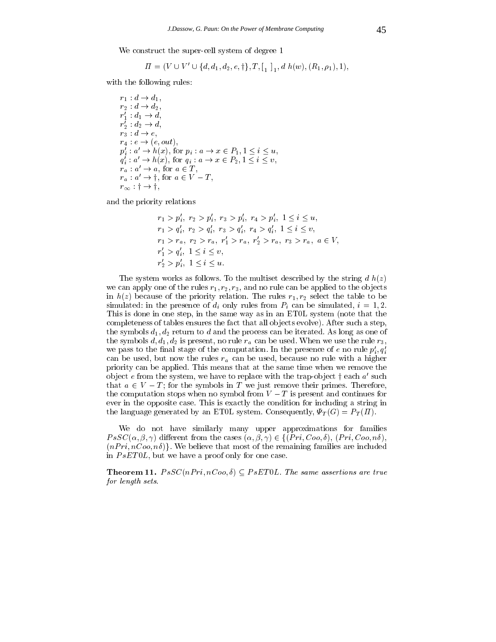We construct the super-cell system of degree  $\mathcal{A}$  and degree  $\mathcal{A}$  and degree 1.1 and degree 1.1 and degree 1.1 and degree 1.1 and degree 1.1 and degree 1.1 and degree 1.1 and degree 1.1 and degree 1.1 and degree 1 struct the super-cell system of degree<br>  $\Pi = (V \cup V' \cup \{d, d_1, d_2, e, \dagger\}, T, [\underline{\ }_1, \underline{\ }_2,$ 

$$
\Pi = (V \cup V' \cup \{d, d_1, d_2, e, \dagger\}, T, [\underline{\phantom{a}}_1, d \; h(w), (R_1, \rho_1), 1),
$$

with the following rules:

$$
r_1: d \rightarrow d_1,
$$
  
\n
$$
r_2: d \rightarrow d_2,
$$
  
\n
$$
r'_1: d_1 \rightarrow d,
$$
  
\n
$$
r_2: d_2 \rightarrow d,
$$
  
\n
$$
r_3: d \rightarrow e,
$$
  
\n
$$
r_4: e \rightarrow (e, out),
$$
  
\n
$$
p'_i: a' \rightarrow h(x), \text{ for } p_i: a \rightarrow x \in P_1, 1 \leq i \leq u,
$$
  
\n
$$
q'_i: a' \rightarrow h(x), \text{ for } q_i: a \rightarrow x \in P_2, 1 \leq i \leq v,
$$
  
\n
$$
r_a: a' \rightarrow a, \text{ for } a \in T,
$$
  
\n
$$
r_a: a' \rightarrow \dagger, \text{ for } a \in V - T,
$$
  
\n
$$
r_{\infty}: \dagger \rightarrow \dagger,
$$

and the priority relations

$$
r_1 > p'_i, r_2 > p'_i, r_3 > p'_i, r_4 > p'_i, 1 \le i \le u,
$$
  
\n
$$
r_1 > q'_i, r_2 > q'_i, r_3 > q'_i, r_4 > q'_i, 1 \le i \le v,
$$
  
\n
$$
r_1 > r_a, r_2 > r_a, r'_1 > r_a, r'_2 > r_a, r_3 > r_a, a \in V,
$$
  
\n
$$
r'_1 > q'_i, 1 \le i \le v,
$$
  
\n
$$
r'_2 > p'_i, 1 \le i \le u.
$$

The system works as follows. To the multiset described by the string  $d h(z)$ we can apply one of the rules  $r_1, r_2, r_3$ , and no rule can be applied to the objects in  $h(z)$  because of the priority relation. The rules  $r_1, r_2$  select the table to be simulated: in the presence of  $d_i$  only rules from  $P_i$  can be simulated,  $i = 1, 2$ . This is done in one step, in the same way as in an ET0L system (note that the completeness of tables ensures the fact that all ob jects evolve). After such a step, the symbols  $d_1, d_2$  return to d and the process can be iterated. As long as one of the symbols  $d, d_1, d_2$  is present, no rule  $r_a$  can be used. When we use the rule  $r_3$ , we pass to the final stage of the computation. In the presence of e no rule  $p_i', q_i'$ can be used, but now the rules  $r_a$  can be used, because no rule with a higher priority can be applied. This means that at the same time when we remove the object e from the system, we have to replace with the trap-object  $\dagger$  each  $a'$  such that  $a \in V - T$ ; for the symbols in T we just remove their primes. Therefore, the computation stops when no symbol from  $V - T$  is present and continues for ever in the opposite case. This is exactly the condition for including a string in the language generated by an ET0L system. Consequently,  $\Psi_T(G) = P_T(\Pi)$ .

We do not have similarly many upper approximations for families We do not have similarly many upper approximations for families  $PsSC(\alpha, \beta, \gamma)$  different from the cases  $(\alpha, \beta, \gamma) \in \{(Pri, Coo, \delta), (Pri, Coo, n\delta),\}$  $(nPri, nCoo, n\delta)$ . We believe that most of the remaining families are included in  $PsET0L$ , but we have a proof only for one case.

**Theorem 11.**  $PsSC(nPri, nCoo, \delta) \subseteq PsET0L$ . The same assertions are true for length sets.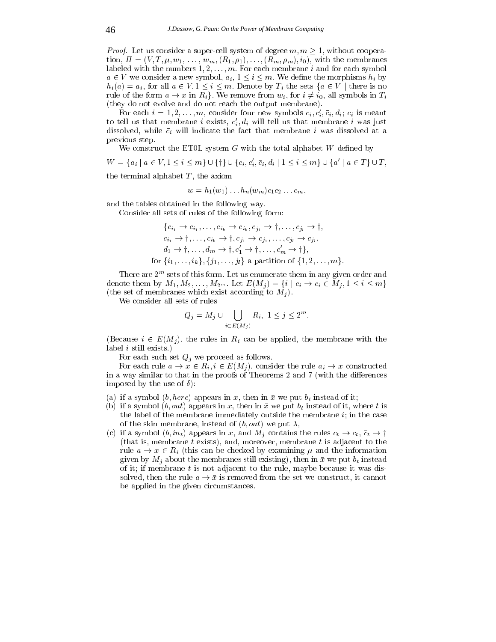*Proof.* Let us consider a super-cell system of degree  $m, m \geq 1$ , without cooperation,  $\Pi = (V, T, \mu, w_1, \ldots, w_m, (R_1, \rho_1), \ldots, (R_m, \rho_m), i_0)$ , with the membranes labeled with the numbers  $1, 2, \ldots, m$ . For each membrane i and for each symbol  $a \in V$  we consider a new symbol,  $a_i, 1 \leq i \leq m$ . We define the morphisms  $h_i$  by  $h_i(a) = a_i$ , for all  $a \in V, 1 \leq i \leq m$ . Denote by  $T_i$  the sets  $\{a \in V \mid \text{there is no} \}$ rule of the form  $a \to x$  in  $R_i$ . We remove from  $w_i$ , for  $i \neq i_0$ , all symbols in  $T_i$ (they do not evolve and do not reach the output membrane).

For each  $i = 1, 2, \ldots, m$ , consider four new symbols  $c_i, c'_i, \bar{c}_i, d_i; c_i$  is meant to tell us that membrane *i* exists,  $c_i, d_i$  will tell us that membrane *i* was just dissolved, while  $\bar{c}_i$  will indicate the fact that membrane i was dissolved at a previous step.

We construct the ET0L system  $G$  with the total alphabet  $W$  defined by

We construct the ET0L system G with the total alphabet W defined by<br>  $W = \{a_i \mid a \in V, 1 \le i \le m\} \cup \{\dagger\} \cup \{c_i, c'_i, \bar{c}_i, d_i \mid 1 \le i \le m\} \cup \{a' \mid a \in T\} \cup T$ ,

the terminal alphabet  $T$ , the axiom

$$
w=h_1(w_1)\dots h_n(w_m)c_1c_2\dots c_m,
$$

and the tables obtained in the following way.

Consider all sets of rules of the following form:

as obtained in the following way.  
\nall sets of rules of the following form:  
\n
$$
\{c_{i_1} \rightarrow c_{i_1}, \dots, c_{i_k} \rightarrow c_{i_k}, c_{j_1} \rightarrow \dagger, \dots, c_{j_l} \rightarrow \dagger, \n\bar{c}_{i_1} \rightarrow \dagger, \dots, \bar{c}_{i_k} \rightarrow \dagger, \bar{c}_{j_1} \rightarrow \bar{c}_{j_1}, \dots, \bar{c}_{j_l} \rightarrow \bar{c}_{j_l}, \nd_1 \rightarrow \dagger, \dots, d_m \rightarrow \dagger, c'_1 \rightarrow \dagger, \dots, c'_m \rightarrow \dagger\},
$$
\nfor  $\{i_1, \dots, i_k\}$ ,  $\{j_1, \dots, j_l\}$  a partition of  $\{1, 2, \dots, m\}$ .

There are 2m sets of this form. Let us enumerate them in any given order and denote them by  $M_1, M_2, \ldots, M_{2^m}$ . Let  $E(M_i) = \{i \mid c_i \to c_i \in M_i, 1 \leq i \leq m\}$ (the set of membranes which exist according to  $M_i$ ).

We consider all sets of rules

$$
Q_j = M_j \cup \bigcup_{i \in E(M_j)} R_i, \ 1 \le j \le 2^m.
$$

(Because  $i \in E(M_i)$ , the rules in  $R_i$  can be applied, the membrane with the label i still exists.)

For each such set  $Q_j$  we proceed as follows.

For each rule  $a \to x \in R_i, i \in E(M_i)$ , consider the rule  $a_i \to \bar{x}$  constructed in a way similar to that in the proofs of Theorems 2 and  $7$  (with the differences imposed by the use of  $\delta$ :

- (a) if a symbol  $(b, here)$  appears in x, then in  $\bar{x}$  we put  $b_i$  instead of it;
- (b) if a symbol  $(b, out)$  appears in x, then in  $\bar{x}$  we put  $b_t$  instead of it, where t is the label of the membrane immediately outside the membrane  $i_i$ ; in the case of the skin membrane, instead of  $(b, out)$  we put  $\lambda$ ,
- (c) if a symbol  $(b, in_t)$  appears in x, and  $M_j$  contains the rules  $c_t \rightarrow c_t$ ,  $\bar{c}_t \rightarrow \dagger$ (that is, membrane t exists), and, moreover, membrane t is adjacent to the rule  $a \to x \in R_i$  (this can be checked by examining  $\mu$  and the information given by  $M_i$  about the membranes still existing), then in  $\bar{x}$  we put  $b_t$  instead of it; if membrane  $t$  is not adjacent to the rule, maybe because it was dissolved, then the rule  $a \to \bar{x}$  is removed from the set we construct, it cannot be applied in the given circumstances.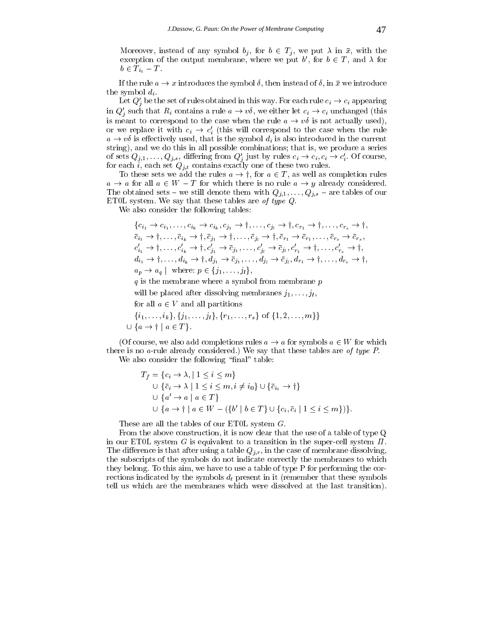Moreover, instead of any symbol  $b_j$ , for  $b \in T_j$ , we put  $\lambda$  in  $\bar{x}$ , with the exception of the output membrane, where we put  $b'$ , for  $b \in T$ , and  $\lambda$  for  $b \in T_{i_0} - T$ .

If the rule  $a \to x$  introduces the symbol  $\delta$ , then instead of  $\delta$ , in  $\bar{x}$  we introduce the symbol  $d_i$ .

Let  $Q_i'$  be the set of rules obtained in this way. For each rule  $c_i \rightarrow c_i$  appearing in  $Q_i'$  such that  $R_i$  contains a rule  $a \to v\delta$ , we either let  $c_i \to c_i$  unchanged (this is meant to correspond to the case when the rule  $a \to v\delta$  is not actually used), or we replace it with  $c_i \rightarrow c'_i$  (this will correspond to the case when the rule  $a \rightarrow v\delta$  is effectively used, that is the symbol  $d_i$  is also introduced in the current string), and we do this in all possible combinations; that is, we produce a series of sets  $Q_{j,1},\ldots,Q_{j,s}$ , differing from  $Q'_j$  just by rules  $c_i \to c_i, c_i \to c'_i$ . Of course, for each i, each set Qj;t contains exactly one of these two rules. ets  $Q_{j,1}, \ldots, Q_{j,s}$ , differing from  $Q'_j$  just by rules  $c_i \rightarrow c_i, c_i \rightarrow c'_i$ . Of course,<br>each *i*, each set  $Q_{j,t}$  contains exactly one of these two rules.<br>To these sets we add the rules  $a \rightarrow \dagger$ , for  $a \in T$ , as well as co

 $a \rightarrow a$  for all  $a \in W - T$  for which there is no rule  $a \rightarrow y$  already considered. The obtained sets – we still denote them with  $Q_{j,1},\ldots,Q_{j,s}$  – are tables of our ET0L system. We say that these tables are of type Q.

 $\mathcal{N}$  also consider the following tables:  $\mathcal{N}$  also consider the following tables:  $\mathcal{N}$ 

also consider the following tables:  
\n
$$
\{c_{i_1} \rightarrow c_{i_1}, \dots, c_{i_k} \rightarrow c_{i_k}, c_{j_1} \rightarrow \dagger, \dots, c_{j_l} \rightarrow \dagger, c_{r_1} \rightarrow \dagger, \dots, c_{r_s} \rightarrow \dagger, c_{r_1} \rightarrow \dagger, \dots, c_{r_s} \rightarrow \dagger, c_{r_1} \rightarrow \dagger, \dots, \bar{c}_{i_k} \rightarrow \dagger, \bar{c}_{j_1} \rightarrow \dagger, \dots, \bar{c}_{j_l} \rightarrow \dagger, \bar{c}_{r_1} \rightarrow \bar{c}_{r_1}, \dots, \bar{c}_{r_s} \rightarrow \bar{c}_{r_s}, c'_{i_1} \rightarrow \dagger, \dots, c'_{i_k} \rightarrow \dagger, c'_{j_1} \rightarrow \bar{c}_{j_1}, \dots, c'_{j_l} \rightarrow \bar{c}_{j_l}, c'_{r_1} \rightarrow \dagger, \dots, c'_{r_s} \rightarrow \dagger, d_{i_1} \rightarrow \dagger, \dots, d_{i_k} \rightarrow \dagger, d_{j_1} \rightarrow \bar{c}_{j_1}, \dots, d_{j_l} \rightarrow \bar{c}_{j_l}, d_{r_1} \rightarrow \dagger, \dots, d_{r_s} \rightarrow \dagger, d_p \rightarrow a_q \mid \text{ where: } p \in \{j_1, \dots, j_l\},
$$

 $q$  is the membrane where a symbol from membrane  $p$ 

will be placed after dissolving membranes  $j_1,\ldots,j_l$ ,

for all 
$$
a \in V
$$
 and an partitions  
\n $\{i_1, \ldots, i_k\}, \{j_1, \ldots, j_l\}, \{r_1, \ldots, r_s\}$  of  $\{1, 2, \ldots, m\}$   
\n $\cup \{a \rightarrow \dagger \mid a \in T\}.$ 

(Of course, we also add completions rules  $a \to a$  for symbols  $a \in W$  for which there is no a-rule already considered.) We say that these tables are of type P. We also consider the following "final" table:

$$
T_f = \{c_i \rightarrow \lambda, | 1 \le i \le m\}
$$
  
\n
$$
\cup \{\bar{c}_i \rightarrow \lambda | 1 \le i \le m, i \ne i_0\} \cup \{\bar{c}_{i_0} \rightarrow \dagger\}
$$
  
\n
$$
\cup \{a' \rightarrow a | a \in T\}
$$
  
\n
$$
\cup \{a \rightarrow \dagger | a \in W - (\{b' | b \in T\} \cup \{c_i, \bar{c}_i | 1 \le i \le m\})\}.
$$

These are all the tables of our ET0L system G.

From the above construction, it is now clear that the use of a table of type Q in our ET0L system  $G$  is equivalent to a transition in the super-cell system  $\Pi$ . The difference is that after using a table  $Q_{j,r}$ , in the case of membrane dissolving, the subscripts of the symbols do not indicate correctly the membranes to which they belong. To this aim, we have to use a table of type P for performing the corrections indicated by the symbols  $d_t$  present in it (remember that these symbols tell us which are the membranes which were dissolved atthe last transition).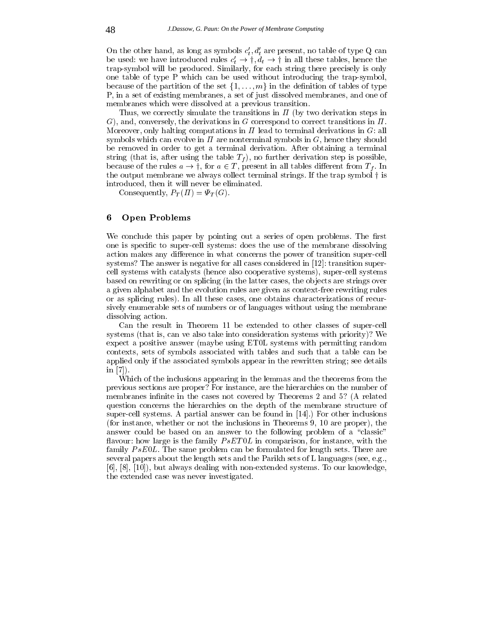On the other hand, as long as symbols  $c'_t, d'_t$  are present, no table of type Q can On the other hand, as long as symbols  $c'_t$ ,  $d'_t$  are present, no table of type Q can<br>be used: we have introduced rules  $c'_t \rightarrow \dagger, d_t \rightarrow \dagger$  in all these tables, hence the trap-symbol will be produced. Similarly, for each string there precisely is only one table of type P which can be used without introducing the trap-symbol, because of the partition of the set  $\{1,\ldots,m\}$  in the definition of tables of type P, in a set of existing membranes, a set of just dissolved membranes, and one of membranes which were dissolved at a previous transition.

Thus, we correctly simulate the transitions in  $\Pi$  (by two derivation steps in G), and, conversely, the derivations in G correspond to correct transitions in  $\Pi$ . Moreover, only halting computations in  $\Pi$  lead to terminal derivations in  $G$ : all symbols which can evolve in  $\Pi$  are nonterminal symbols in  $G$ , hence they should be removed in order to get a terminal derivation. After obtaining a terminal string (that is, after using the table  $T_f$ ), no further derivation step is possible, because of the rules  $a \rightarrow \uparrow$ , for  $a \in T$ , present in all tables different from  $T_f$ . In the output membrane we always collect terminal strings. If the trap symbol  $\dagger$  is introduced, then it will never be eliminated.

Consequently,  $P_T(\Pi) = \Psi_T(G)$ .

## 6 Open Problems

We conclude this paper by pointing out a series of open problems. The first one is specific to super-cell systems: does the use of the membrane dissolving action makes any difference in what concerns the power of transition super-cell systems? The answer is negative for all cases considered in [12]: transition supercell systems with catalysts (hence also cooperative systems), super-cell systems based on rewriting or on splicing (in the latter cases, the objects are strings over a given alphabet and the evolution rules are given as context-free rewriting rules or as splicing rules). In all these cases, one obtains characterizations of recursively enumerable sets of numbers or of languages without using the membrane dissolving action.

Can the result in Theorem 11 be extended to other classes of super-cell systems (that is, can ve also take into consideration systems with priority)? We expect a positive answer (maybe using ET0L systems with permitting random contexts, sets of symbols associated with tables and such that a table can be applied only if the associated symbols appear in the rewritten string; see details in [7]).

Which of the inclusions appearing in the lemmas and the theorems from the previous sections are proper? For instance, are the hierarchies on the number of membranes infinite in the cases not covered by Theorems 2 and 5? (A related question concerns the hierarchies on the depth of the membrane structure of super-cell systems. A partial answer can be found in [14].) For other inclusions (for instance, whether or not the inclusions in Theorems 9, 10 are proper), the answer could be based on an answer to the following problem of a "classic" flavour: how large is the family  $PsET0L$  in comparison, for instance, with the family  $PsE0L$ . The same problem can be formulated for length sets. There are several papers about the length sets and the Parikh sets of L languages (see, e.g., [6], [8], [10]), but always dealing with non-extended systems. To our knowledge, the extended case was never investigated.